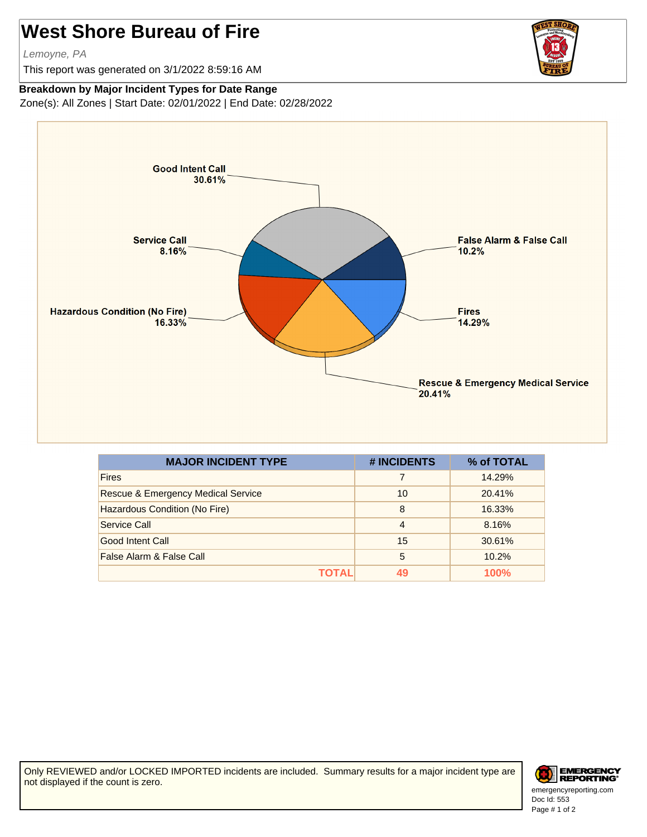## **West Shore Bureau of Fire**

Lemoyne, PA

This report was generated on 3/1/2022 8:59:16 AM



## **Breakdown by Major Incident Types for Date Range**

Zone(s): All Zones | Start Date: 02/01/2022 | End Date: 02/28/2022



| <b>MAJOR INCIDENT TYPE</b>                    | # INCIDENTS    | % of TOTAL |
|-----------------------------------------------|----------------|------------|
| <b>Fires</b>                                  |                | 14.29%     |
| <b>Rescue &amp; Emergency Medical Service</b> | 10             | 20.41%     |
| Hazardous Condition (No Fire)                 | 8              | 16.33%     |
| Service Call                                  | $\overline{4}$ | 8.16%      |
| Good Intent Call                              | 15             | 30.61%     |
| False Alarm & False Call                      | 5              | 10.2%      |
| ΤΩΤΔΙ                                         |                | 100%       |

Only REVIEWED and/or LOCKED IMPORTED incidents are included. Summary results for a major incident type are not displayed if the count is zero.



Doc Id: 553 emergencyreporting.com Page # 1 of 2